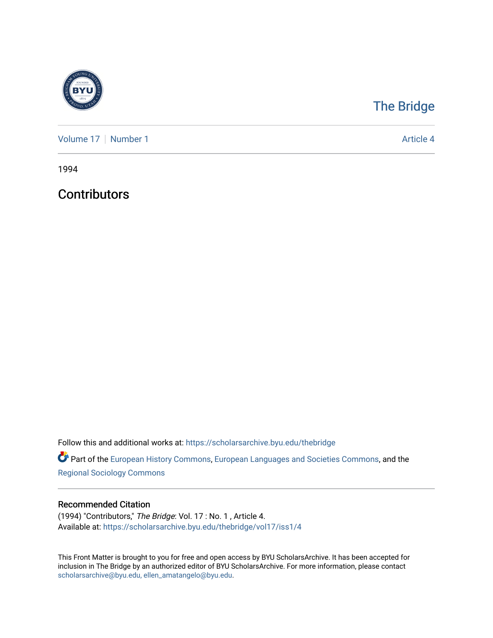

## [The Bridge](https://scholarsarchive.byu.edu/thebridge)

[Volume 17](https://scholarsarchive.byu.edu/thebridge/vol17) | [Number 1](https://scholarsarchive.byu.edu/thebridge/vol17/iss1) Article 4

1994

**Contributors** 

Follow this and additional works at: [https://scholarsarchive.byu.edu/thebridge](https://scholarsarchive.byu.edu/thebridge?utm_source=scholarsarchive.byu.edu%2Fthebridge%2Fvol17%2Fiss1%2F4&utm_medium=PDF&utm_campaign=PDFCoverPages) 

**Part of the [European History Commons](http://network.bepress.com/hgg/discipline/492?utm_source=scholarsarchive.byu.edu%2Fthebridge%2Fvol17%2Fiss1%2F4&utm_medium=PDF&utm_campaign=PDFCoverPages), [European Languages and Societies Commons,](http://network.bepress.com/hgg/discipline/482?utm_source=scholarsarchive.byu.edu%2Fthebridge%2Fvol17%2Fiss1%2F4&utm_medium=PDF&utm_campaign=PDFCoverPages) and the** [Regional Sociology Commons](http://network.bepress.com/hgg/discipline/427?utm_source=scholarsarchive.byu.edu%2Fthebridge%2Fvol17%2Fiss1%2F4&utm_medium=PDF&utm_campaign=PDFCoverPages) 

## Recommended Citation

(1994) "Contributors," The Bridge: Vol. 17 : No. 1 , Article 4. Available at: [https://scholarsarchive.byu.edu/thebridge/vol17/iss1/4](https://scholarsarchive.byu.edu/thebridge/vol17/iss1/4?utm_source=scholarsarchive.byu.edu%2Fthebridge%2Fvol17%2Fiss1%2F4&utm_medium=PDF&utm_campaign=PDFCoverPages) 

This Front Matter is brought to you for free and open access by BYU ScholarsArchive. It has been accepted for inclusion in The Bridge by an authorized editor of BYU ScholarsArchive. For more information, please contact [scholarsarchive@byu.edu, ellen\\_amatangelo@byu.edu](mailto:scholarsarchive@byu.edu,%20ellen_amatangelo@byu.edu).